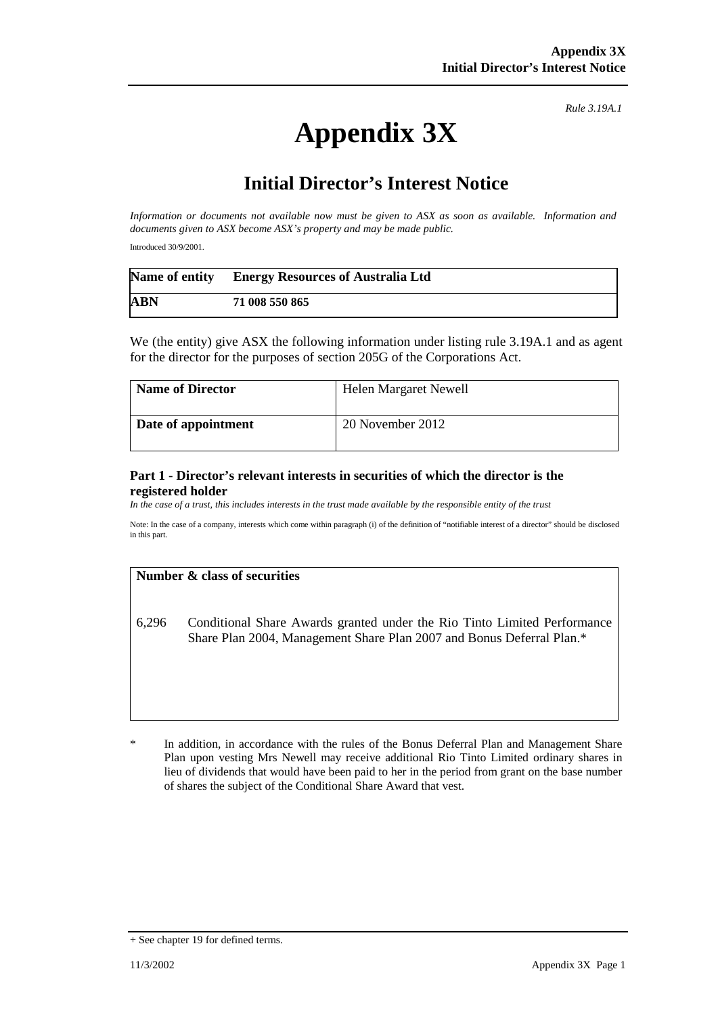# **Appendix 3X**

*Rule 3.19A.1*

# **Initial Director's Interest Notice**

*Information or documents not available now must be given to ASX as soon as available. Information and documents given to ASX become ASX's property and may be made public.*

Introduced 30/9/2001.

|            | Name of entity Energy Resources of Australia Ltd |
|------------|--------------------------------------------------|
| <b>ABN</b> | 71 008 550 865                                   |

We (the entity) give ASX the following information under listing rule 3.19A.1 and as agent for the director for the purposes of section 205G of the Corporations Act.

| <b>Name of Director</b> | Helen Margaret Newell |
|-------------------------|-----------------------|
| Date of appointment     | 20 November 2012      |

#### **Part 1 - Director's relevant interests in securities of which the director is the registered holder**

*In the case of a trust, this includes interests in the trust made available by the responsible entity of the trust*

Note: In the case of a company, interests which come within paragraph (i) of the definition of "notifiable interest of a director" should be disclosed in this part.

#### **Number & class of securities**

6,296 Conditional Share Awards granted under the Rio Tinto Limited Performance Share Plan 2004, Management Share Plan 2007 and Bonus Deferral Plan.\*

In addition, in accordance with the rules of the Bonus Deferral Plan and Management Share Plan upon vesting Mrs Newell may receive additional Rio Tinto Limited ordinary shares in lieu of dividends that would have been paid to her in the period from grant on the base number of shares the subject of the Conditional Share Award that vest.

<sup>+</sup> See chapter 19 for defined terms.